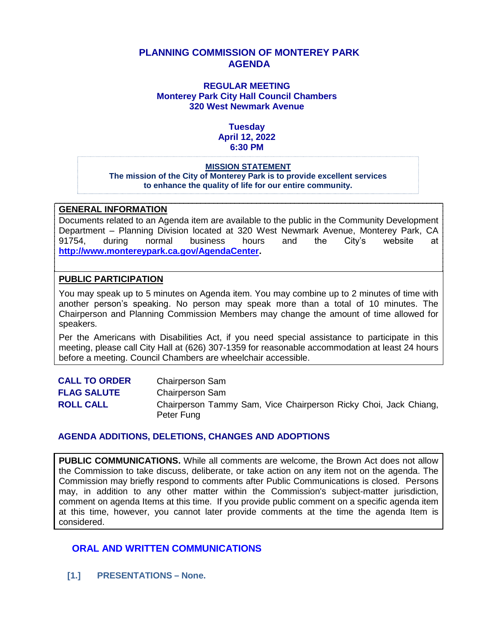## **PLANNING COMMISSION OF MONTEREY PARK AGENDA**

#### **REGULAR MEETING Monterey Park City Hall Council Chambers 320 West Newmark Avenue**

#### **Tuesday April 12, 2022 6:30 PM**

#### **MISSION STATEMENT**

**The mission of the City of Monterey Park is to provide excellent services to enhance the quality of life for our entire community.**

#### **GENERAL INFORMATION**

Documents related to an Agenda item are available to the public in the Community Development Department – Planning Division located at 320 West Newmark Avenue, Monterey Park, CA 91754, during normal business hours and the City's website at **[http://www.montereypark.ca.gov/AgendaCenter.](http://www.montereypark.ca.gov/AgendaCenter)** 

#### **PUBLIC PARTICIPATION**

You may speak up to 5 minutes on Agenda item. You may combine up to 2 minutes of time with another person's speaking. No person may speak more than a total of 10 minutes. The Chairperson and Planning Commission Members may change the amount of time allowed for speakers.

Per the Americans with Disabilities Act, if you need special assistance to participate in this meeting, please call City Hall at (626) 307-1359 for reasonable accommodation at least 24 hours before a meeting. Council Chambers are wheelchair accessible.

| <b>CALL TO ORDER</b> | <b>Chairperson Sam</b>                                                         |
|----------------------|--------------------------------------------------------------------------------|
| <b>FLAG SALUTE</b>   | <b>Chairperson Sam</b>                                                         |
| <b>ROLL CALL</b>     | Chairperson Tammy Sam, Vice Chairperson Ricky Choi, Jack Chiang,<br>Peter Fung |

#### **AGENDA ADDITIONS, DELETIONS, CHANGES AND ADOPTIONS**

**PUBLIC COMMUNICATIONS.** While all comments are welcome, the Brown Act does not allow the Commission to take discuss, deliberate, or take action on any item not on the agenda. The Commission may briefly respond to comments after Public Communications is closed. Persons may, in addition to any other matter within the Commission's subject-matter jurisdiction, comment on agenda Items at this time. If you provide public comment on a specific agenda item at this time, however, you cannot later provide comments at the time the agenda Item is considered.

#### **ORAL AND WRITTEN COMMUNICATIONS**

**[1.] PRESENTATIONS – None.**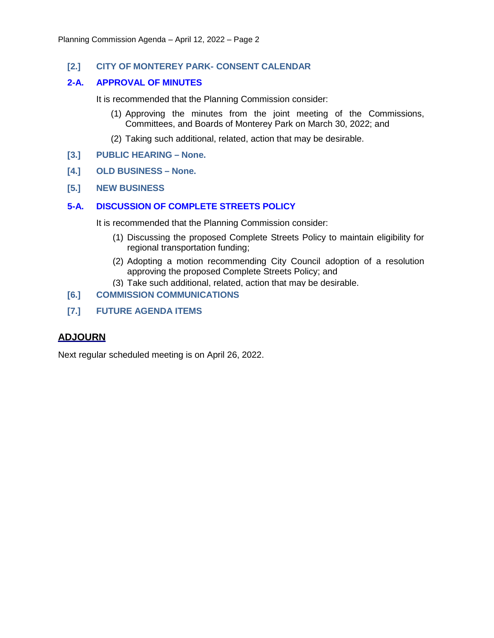#### **[2.] CITY OF MONTEREY PARK- CONSENT CALENDAR**

#### **2-A. APPROVAL OF MINUTES**

It is recommended that the Planning Commission consider:

- (1) Approving the minutes from the joint meeting of the Commissions, Committees, and Boards of Monterey Park on March 30, 2022; and
- (2) Taking such additional, related, action that may be desirable.
- **[3.] PUBLIC HEARING – None.**
- **[4.] OLD BUSINESS – None.**
- **[5.] NEW BUSINESS**

#### **5-A. DISCUSSION OF COMPLETE STREETS POLICY**

It is recommended that the Planning Commission consider:

- (1) Discussing the proposed Complete Streets Policy to maintain eligibility for regional transportation funding;
- (2) Adopting a motion recommending City Council adoption of a resolution approving the proposed Complete Streets Policy; and
- (3) Take such additional, related, action that may be desirable.
- **[6.] COMMISSION COMMUNICATIONS**
- **[7.] FUTURE AGENDA ITEMS**

#### **ADJOURN**

Next regular scheduled meeting is on April 26, 2022.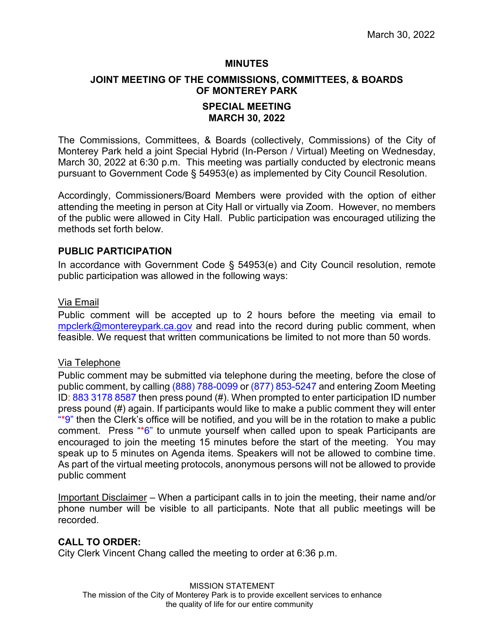#### **MINUTES**

## **JOINT MEETING OF THE COMMISSIONS, COMMITTEES, & BOARDS OF MONTEREY PARK**

## **SPECIAL MEETING MARCH 30, 2022**

The Commissions, Committees, & Boards (collectively, Commissions) of the City of Monterey Park held a joint Special Hybrid (In-Person / Virtual) Meeting on Wednesday, March 30, 2022 at 6:30 p.m. This meeting was partially conducted by electronic means pursuant to Government Code § 54953(e) as implemented by City Council Resolution.

Accordingly, Commissioners/Board Members were provided with the option of either attending the meeting in person at City Hall or virtually via Zoom. However, no members of the public were allowed in City Hall. Public participation was encouraged utilizing the methods set forth below.

#### **PUBLIC PARTICIPATION**

In accordance with Government Code § 54953(e) and City Council resolution, remote public participation was allowed in the following ways:

#### Via Email

Public comment will be accepted up to 2 hours before the meeting via email to [mpclerk@montereypark.ca.gov](mailto:mpclerk@montereypark.ca.gov) and read into the record during public comment, when feasible. We request that written communications be limited to not more than 50 words.

#### Via Telephone

Public comment may be submitted via telephone during the meeting, before the close of public comment, by calling (888) 788-0099 or (877) 853-5247 and entering Zoom Meeting ID: 883 3178 8587 then press pound (#). When prompted to enter participation ID number press pound (#) again. If participants would like to make a public comment they will enter  $**$ 9" then the Clerk's office will be notified, and you will be in the rotation to make a public comment. Press "\*6" to unmute yourself when called upon to speak Participants are encouraged to join the meeting 15 minutes before the start of the meeting. You may speak up to 5 minutes on Agenda items. Speakers will not be allowed to combine time. As part of the virtual meeting protocols, anonymous persons will not be allowed to provide public comment

Important Disclaimer – When a participant calls in to join the meeting, their name and/or phone number will be visible to all participants. Note that all public meetings will be recorded.

## **CALL TO ORDER:**

City Clerk Vincent Chang called the meeting to order at 6:36 p.m.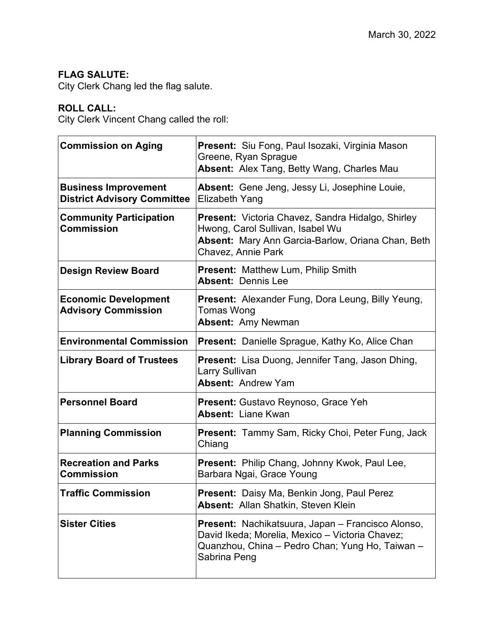## **FLAG SALUTE:**

City Clerk Chang led the flag salute.

## **ROLL CALL:**

City Clerk Vincent Chang called the roll:

| <b>Commission on Aging</b>                                        | Present: Siu Fong, Paul Isozaki, Virginia Mason<br>Greene, Ryan Sprague<br>Absent: Alex Tang, Betty Wang, Charles Mau                                                   |  |  |
|-------------------------------------------------------------------|-------------------------------------------------------------------------------------------------------------------------------------------------------------------------|--|--|
| <b>Business Improvement</b><br><b>District Advisory Committee</b> | Absent: Gene Jeng, Jessy Li, Josephine Louie,<br>Elizabeth Yang                                                                                                         |  |  |
| <b>Community Participation</b><br><b>Commission</b>               | Present: Victoria Chavez, Sandra Hidalgo, Shirley<br>Hwong, Carol Sullivan, Isabel Wu<br>Absent: Mary Ann Garcia-Barlow, Oriana Chan, Beth<br>Chavez, Annie Park        |  |  |
| <b>Design Review Board</b>                                        | Present: Matthew Lum, Philip Smith<br><b>Absent: Dennis Lee</b>                                                                                                         |  |  |
| <b>Economic Development</b><br><b>Advisory Commission</b>         | <b>Present:</b> Alexander Fung, Dora Leung, Billy Yeung,<br>Tomas Wong<br><b>Absent: Amy Newman</b>                                                                     |  |  |
| <b>Environmental Commission</b>                                   | <b>Present:</b> Danielle Sprague, Kathy Ko, Alice Chan                                                                                                                  |  |  |
| <b>Library Board of Trustees</b>                                  | <b>Present:</b> Lisa Duong, Jennifer Tang, Jason Dhing,<br>Larry Sullivan<br><b>Absent: Andrew Yam</b>                                                                  |  |  |
| <b>Personnel Board</b>                                            | <b>Present:</b> Gustavo Reynoso, Grace Yeh<br><b>Absent: Liane Kwan</b>                                                                                                 |  |  |
| <b>Planning Commission</b>                                        | <b>Present:</b> Tammy Sam, Ricky Choi, Peter Fung, Jack<br>Chiang                                                                                                       |  |  |
| <b>Recreation and Parks</b><br><b>Commission</b>                  | Present: Philip Chang, Johnny Kwok, Paul Lee,<br>Barbara Ngai, Grace Young                                                                                              |  |  |
| <b>Traffic Commission</b>                                         | <b>Present:</b> Daisy Ma, Benkin Jong, Paul Perez<br><b>Absent: Allan Shatkin, Steven Klein</b>                                                                         |  |  |
| <b>Sister Cities</b>                                              | Present: Nachikatsuura, Japan - Francisco Alonso,<br>David Ikeda; Morelia, Mexico - Victoria Chavez;<br>Quanzhou, China - Pedro Chan; Yung Ho, Taiwan -<br>Sabrina Peng |  |  |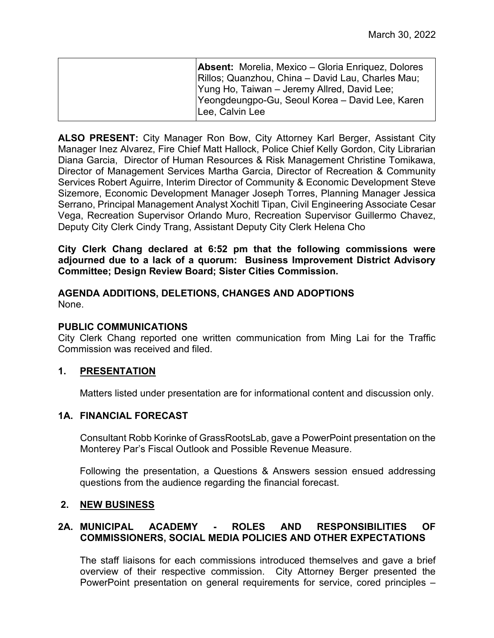| <b>Absent:</b> Morelia, Mexico – Gloria Enriquez, Dolores<br>Rillos; Quanzhou, China - David Lau, Charles Mau;<br> Yung Ho, Taiwan – Jeremy Allred, David Lee;<br>Yeongdeungpo-Gu, Seoul Korea – David Lee, Karen |
|-------------------------------------------------------------------------------------------------------------------------------------------------------------------------------------------------------------------|
| Lee, Calvin Lee                                                                                                                                                                                                   |

**ALSO PRESENT:** City Manager Ron Bow, City Attorney Karl Berger, Assistant City Manager Inez Alvarez, Fire Chief Matt Hallock, Police Chief Kelly Gordon, City Librarian Diana Garcia, Director of Human Resources & Risk Management Christine Tomikawa, Director of Management Services Martha Garcia, Director of Recreation & Community Services Robert Aguirre, Interim Director of Community & Economic Development Steve Sizemore, Economic Development Manager Joseph Torres, Planning Manager Jessica Serrano, Principal Management Analyst Xochitl Tipan, Civil Engineering Associate Cesar Vega, Recreation Supervisor Orlando Muro, Recreation Supervisor Guillermo Chavez, Deputy City Clerk Cindy Trang, Assistant Deputy City Clerk Helena Cho

**City Clerk Chang declared at 6:52 pm that the following commissions were adjourned due to a lack of a quorum: Business Improvement District Advisory Committee; Design Review Board; Sister Cities Commission.**

#### **AGENDA ADDITIONS, DELETIONS, CHANGES AND ADOPTIONS** None.

## **PUBLIC COMMUNICATIONS**

City Clerk Chang reported one written communication from Ming Lai for the Traffic Commission was received and filed.

## **1. PRESENTATION**

Matters listed under presentation are for informational content and discussion only.

## **1A. FINANCIAL FORECAST**

Consultant Robb Korinke of GrassRootsLab, gave a PowerPoint presentation on the Monterey Par's Fiscal Outlook and Possible Revenue Measure.

Following the presentation, a Questions & Answers session ensued addressing questions from the audience regarding the financial forecast.

## **2. NEW BUSINESS**

## **2A. MUNICIPAL ACADEMY - ROLES AND RESPONSIBILITIES OF COMMISSIONERS, SOCIAL MEDIA POLICIES AND OTHER EXPECTATIONS**

The staff liaisons for each commissions introduced themselves and gave a brief overview of their respective commission. City Attorney Berger presented the PowerPoint presentation on general requirements for service, cored principles –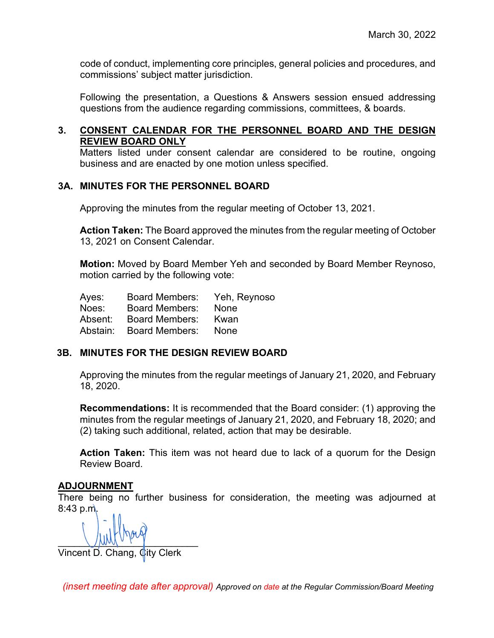code of conduct, implementing core principles, general policies and procedures, and commissions' subject matter jurisdiction.

Following the presentation, a Questions & Answers session ensued addressing questions from the audience regarding commissions, committees, & boards.

## **3. CONSENT CALENDAR FOR THE PERSONNEL BOARD AND THE DESIGN REVIEW BOARD ONLY**

Matters listed under consent calendar are considered to be routine, ongoing business and are enacted by one motion unless specified.

## **3A. MINUTES FOR THE PERSONNEL BOARD**

Approving the minutes from the regular meeting of October 13, 2021.

**Action Taken:** The Board approved the minutes from the regular meeting of October 13, 2021 on Consent Calendar.

**Motion:** Moved by Board Member Yeh and seconded by Board Member Reynoso, motion carried by the following vote:

| Ayes:    | <b>Board Members:</b> | Yeh, Reynoso |
|----------|-----------------------|--------------|
| Noes:    | <b>Board Members:</b> | None         |
| Absent:  | <b>Board Members:</b> | Kwan         |
| Abstain: | <b>Board Members:</b> | <b>None</b>  |

## **3B. MINUTES FOR THE DESIGN REVIEW BOARD**

Approving the minutes from the regular meetings of January 21, 2020, and February 18, 2020.

**Recommendations:** It is recommended that the Board consider: (1) approving the minutes from the regular meetings of January 21, 2020, and February 18, 2020; and (2) taking such additional, related, action that may be desirable.

**Action Taken:** This item was not heard due to lack of a quorum for the Design Review Board.

## **ADJOURNMENT**

There being no further business for consideration, the meeting was adjourned at 8:43 p.m.

 $\bigcup \text{MM} \cup \text{Y}$ 

Vincent D. Chang, City Clerk

*(insert meeting date after approval) Approved on date at the Regular Commission/Board Meeting*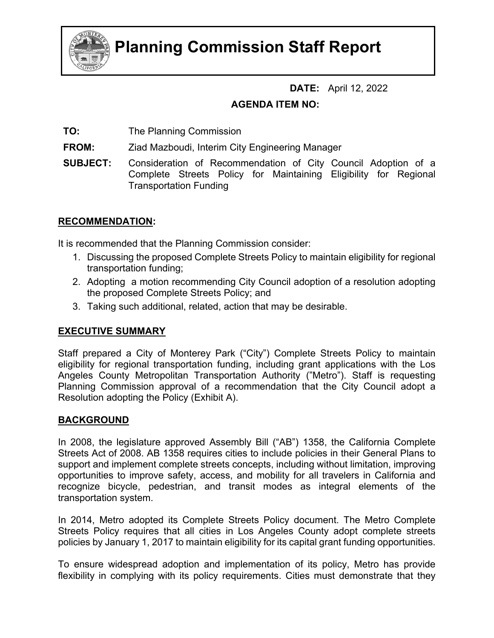

# **Planning Commission Staff Report**

## **DATE:** April 12, 2022

## **AGENDA ITEM NO:**

**TO:** The Planning Commission

**FROM:** Ziad Mazboudi, Interim City Engineering Manager

**SUBJECT:** Consideration of Recommendation of City Council Adoption of a Complete Streets Policy for Maintaining Eligibility for Regional Transportation Funding

## **RECOMMENDATION:**

It is recommended that the Planning Commission consider:

- 1. Discussing the proposed Complete Streets Policy to maintain eligibility for regional transportation funding;
- 2. Adopting a motion recommending City Council adoption of a resolution adopting the proposed Complete Streets Policy; and
- 3. Taking such additional, related, action that may be desirable.

## **EXECUTIVE SUMMARY**

Staff prepared a City of Monterey Park ("City") Complete Streets Policy to maintain eligibility for regional transportation funding, including grant applications with the Los Angeles County Metropolitan Transportation Authority ("Metro"). Staff is requesting Planning Commission approval of a recommendation that the City Council adopt a Resolution adopting the Policy (Exhibit A).

## **BACKGROUND**

In 2008, the legislature approved Assembly Bill ("AB") 1358, the California Complete Streets Act of 2008. AB 1358 requires cities to include policies in their General Plans to support and implement complete streets concepts, including without limitation, improving opportunities to improve safety, access, and mobility for all travelers in California and recognize bicycle, pedestrian, and transit modes as integral elements of the transportation system.

In 2014, Metro adopted its Complete Streets Policy document. The Metro Complete Streets Policy requires that all cities in Los Angeles County adopt complete streets policies by January 1, 2017 to maintain eligibility for its capital grant funding opportunities.

To ensure widespread adoption and implementation of its policy, Metro has provide flexibility in complying with its policy requirements. Cities must demonstrate that they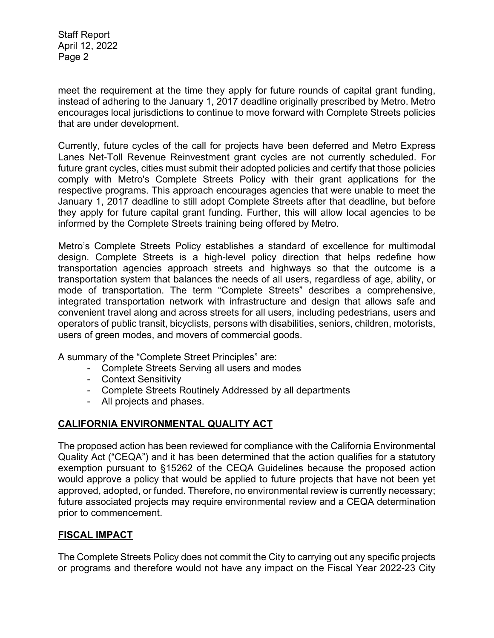Staff Report April 12, 2022 Page 2

meet the requirement at the time they apply for future rounds of capital grant funding, instead of adhering to the January 1, 2017 deadline originally prescribed by Metro. Metro encourages local jurisdictions to continue to move forward with Complete Streets policies that are under development.

Currently, future cycles of the call for projects have been deferred and Metro Express Lanes Net-Toll Revenue Reinvestment grant cycles are not currently scheduled. For future grant cycles, cities must submit their adopted policies and certify that those policies comply with Metro's Complete Streets Policy with their grant applications for the respective programs. This approach encourages agencies that were unable to meet the January 1, 2017 deadline to still adopt Complete Streets after that deadline, but before they apply for future capital grant funding. Further, this will allow local agencies to be informed by the Complete Streets training being offered by Metro.

Metro's Complete Streets Policy establishes a standard of excellence for multimodal design. Complete Streets is a high-level policy direction that helps redefine how transportation agencies approach streets and highways so that the outcome is a transportation system that balances the needs of all users, regardless of age, ability, or mode of transportation. The term "Complete Streets" describes a comprehensive, integrated transportation network with infrastructure and design that allows safe and convenient travel along and across streets for all users, including pedestrians, users and operators of public transit, bicyclists, persons with disabilities, seniors, children, motorists, users of green modes, and movers of commercial goods.

A summary of the "Complete Street Principles" are:

- Complete Streets Serving all users and modes
- Context Sensitivity
- Complete Streets Routinely Addressed by all departments
- All projects and phases.

## **CALIFORNIA ENVIRONMENTAL QUALITY ACT**

The proposed action has been reviewed for compliance with the California Environmental Quality Act ("CEQA") and it has been determined that the action qualifies for a statutory exemption pursuant to §15262 of the CEQA Guidelines because the proposed action would approve a policy that would be applied to future projects that have not been yet approved, adopted, or funded. Therefore, no environmental review is currently necessary; future associated projects may require environmental review and a CEQA determination prior to commencement.

## **FISCAL IMPACT**

The Complete Streets Policy does not commit the City to carrying out any specific projects or programs and therefore would not have any impact on the Fiscal Year 2022-23 City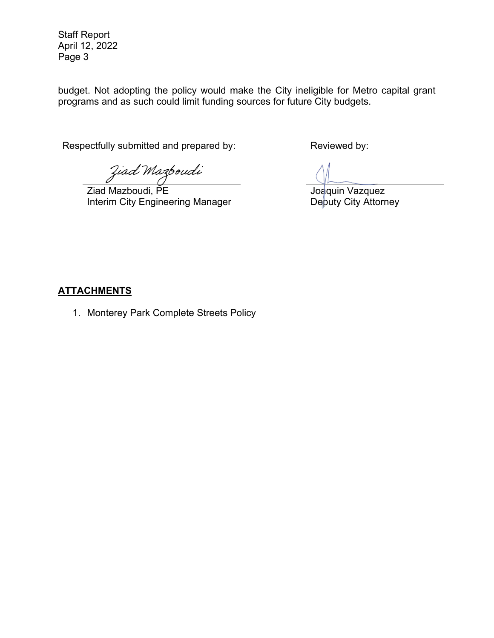Staff Report April 12, 2022 Page 3

budget. Not adopting the policy would make the City ineligible for Metro capital grant programs and as such could limit funding sources for future City budgets.

Respectfully submitted and prepared by: Reviewed by:

Ziad Mazboudi

Ziad Mazboudi, PE Interim City Engineering Manager

Joaquin Vazquez Deputy City Attorney

## **ATTACHMENTS**

1. Monterey Park Complete Streets Policy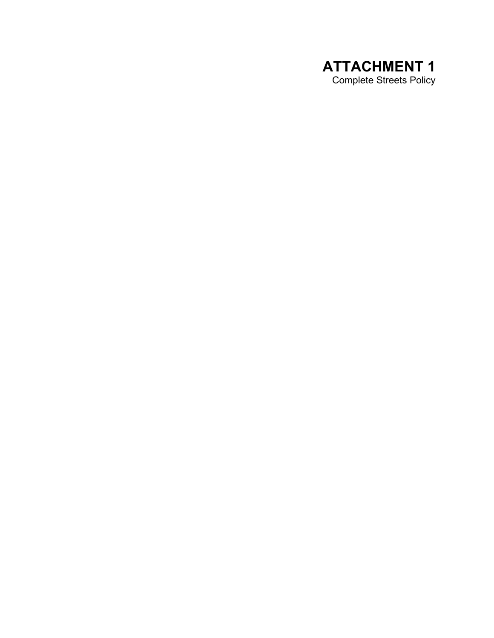## **ATTACHMENT 1**  Complete Streets Policy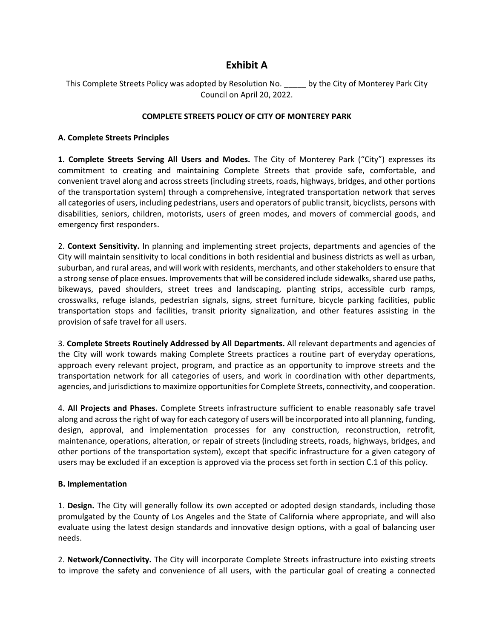## **Exhibit A**

This Complete Streets Policy was adopted by Resolution No. \_\_\_\_\_ by the City of Monterey Park City Council on April 20, 2022.

#### **COMPLETE STREETS POLICY OF CITY OF MONTEREY PARK**

#### **A. Complete Streets Principles**

**1. Complete Streets Serving All Users and Modes.** The City of Monterey Park ("City") expresses its commitment to creating and maintaining Complete Streets that provide safe, comfortable, and convenient travel along and across streets (including streets, roads, highways, bridges, and other portions of the transportation system) through a comprehensive, integrated transportation network that serves all categories of users, including pedestrians, users and operators of public transit, bicyclists, persons with disabilities, seniors, children, motorists, users of green modes, and movers of commercial goods, and emergency first responders.

2. **Context Sensitivity.** In planning and implementing street projects, departments and agencies of the City will maintain sensitivity to local conditions in both residential and business districts as well as urban, suburban, and rural areas, and will work with residents, merchants, and other stakeholders to ensure that a strong sense of place ensues. Improvements that will be considered include sidewalks, shared use paths, bikeways, paved shoulders, street trees and landscaping, planting strips, accessible curb ramps, crosswalks, refuge islands, pedestrian signals, signs, street furniture, bicycle parking facilities, public transportation stops and facilities, transit priority signalization, and other features assisting in the provision of safe travel for all users.

3. **Complete Streets Routinely Addressed by All Departments.** All relevant departments and agencies of the City will work towards making Complete Streets practices a routine part of everyday operations, approach every relevant project, program, and practice as an opportunity to improve streets and the transportation network for all categories of users, and work in coordination with other departments, agencies, and jurisdictions to maximize opportunities for Complete Streets, connectivity, and cooperation.

4. **All Projects and Phases.** Complete Streets infrastructure sufficient to enable reasonably safe travel along and across the right of way for each category of users will be incorporated into all planning, funding, design, approval, and implementation processes for any construction, reconstruction, retrofit, maintenance, operations, alteration, or repair of streets (including streets, roads, highways, bridges, and other portions of the transportation system), except that specific infrastructure for a given category of users may be excluded if an exception is approved via the process set forth in section C.1 of this policy.

#### **B. Implementation**

1. **Design.** The City will generally follow its own accepted or adopted design standards, including those promulgated by the County of Los Angeles and the State of California where appropriate, and will also evaluate using the latest design standards and innovative design options, with a goal of balancing user needs.

2. **Network/Connectivity.** The City will incorporate Complete Streets infrastructure into existing streets to improve the safety and convenience of all users, with the particular goal of creating a connected